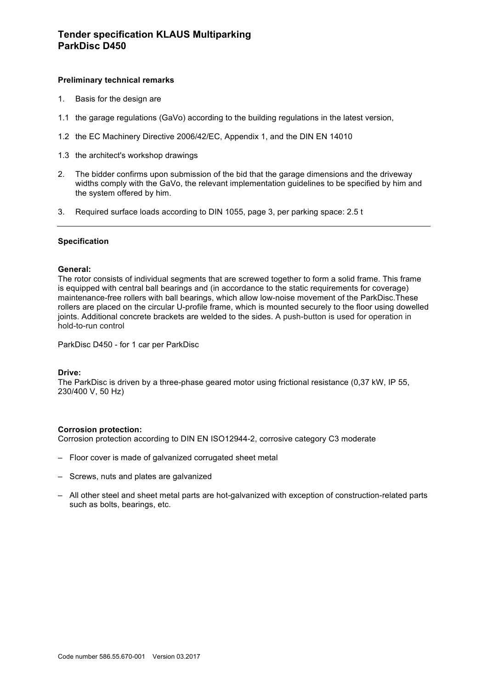# **Preliminary technical remarks**

- 1. Basis for the design are
- 1.1 the garage regulations (GaVo) according to the building regulations in the latest version,
- 1.2 the EC Machinery Directive 2006/42/EC, Appendix 1, and the DIN EN 14010
- 1.3 the architect's workshop drawings
- 2. The bidder confirms upon submission of the bid that the garage dimensions and the driveway widths comply with the GaVo, the relevant implementation guidelines to be specified by him and the system offered by him.
- 3. Required surface loads according to DIN 1055, page 3, per parking space: 2.5 t

## **Specification**

## **General:**

The rotor consists of individual segments that are screwed together to form a solid frame. This frame is equipped with central ball bearings and (in accordance to the static requirements for coverage) maintenance-free rollers with ball bearings, which allow low-noise movement of the ParkDisc.These rollers are placed on the circular U-profile frame, which is mounted securely to the floor using dowelled joints. Additional concrete brackets are welded to the sides. A push-button is used for operation in hold-to-run control

ParkDisc D450 - for 1 car per ParkDisc

## **Drive:**

The ParkDisc is driven by a three-phase geared motor using frictional resistance (0,37 kW, IP 55, 230/400 V, 50 Hz)

## **Corrosion protection:**

Corrosion protection according to DIN EN ISO12944-2, corrosive category C3 moderate

- Floor cover is made of galvanized corrugated sheet metal
- Screws, nuts and plates are galvanized
- All other steel and sheet metal parts are hot-galvanized with exception of construction-related parts such as bolts, bearings, etc.